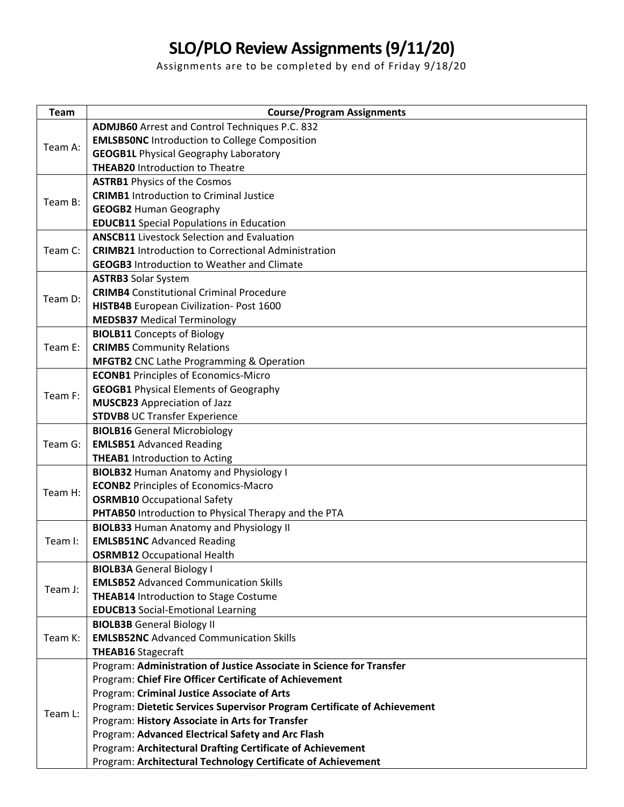## **SLO/PLO Review Assignments (9/11/20)**

Assignments are to be completed by end of Friday 9/18/20

| <b>Team</b> | <b>Course/Program Assignments</b>                                        |
|-------------|--------------------------------------------------------------------------|
| Team A:     | <b>ADMJB60</b> Arrest and Control Techniques P.C. 832                    |
|             | <b>EMLSB50NC</b> Introduction to College Composition                     |
|             | <b>GEOGB1L Physical Geography Laboratory</b>                             |
|             | <b>THEAB20 Introduction to Theatre</b>                                   |
| Team B:     | <b>ASTRB1</b> Physics of the Cosmos                                      |
|             | <b>CRIMB1</b> Introduction to Criminal Justice                           |
|             | <b>GEOGB2 Human Geography</b>                                            |
|             | <b>EDUCB11</b> Special Populations in Education                          |
| Team C:     | <b>ANSCB11</b> Livestock Selection and Evaluation                        |
|             | <b>CRIMB21</b> Introduction to Correctional Administration               |
|             | <b>GEOGB3</b> Introduction to Weather and Climate                        |
|             | <b>ASTRB3</b> Solar System                                               |
| Team D:     | <b>CRIMB4</b> Constitutional Criminal Procedure                          |
|             | HISTB4B European Civilization- Post 1600                                 |
|             | <b>MEDSB37</b> Medical Terminology                                       |
| Team E:     | <b>BIOLB11</b> Concepts of Biology                                       |
|             | <b>CRIMB5</b> Community Relations                                        |
|             | <b>MFGTB2</b> CNC Lathe Programming & Operation                          |
| Team F:     | <b>ECONB1</b> Principles of Economics-Micro                              |
|             | <b>GEOGB1</b> Physical Elements of Geography                             |
|             | <b>MUSCB23</b> Appreciation of Jazz                                      |
|             | <b>STDVB8</b> UC Transfer Experience                                     |
|             | <b>BIOLB16</b> General Microbiology                                      |
| Team G:     | <b>EMLSB51 Advanced Reading</b>                                          |
|             | <b>THEAB1</b> Introduction to Acting                                     |
|             | <b>BIOLB32 Human Anatomy and Physiology I</b>                            |
| Team H:     | <b>ECONB2</b> Principles of Economics-Macro                              |
|             | <b>OSRMB10</b> Occupational Safety                                       |
|             | PHTAB50 Introduction to Physical Therapy and the PTA                     |
| Team I:     | <b>BIOLB33 Human Anatomy and Physiology II</b>                           |
|             | <b>EMLSB51NC</b> Advanced Reading                                        |
|             | <b>OSRMB12</b> Occupational Health                                       |
| Team J:     | <b>BIOLB3A</b> General Biology I                                         |
|             | <b>EMLSB52</b> Advanced Communication Skills                             |
|             | <b>THEAB14</b> Introduction to Stage Costume                             |
|             | <b>EDUCB13</b> Social-Emotional Learning                                 |
| Team K:     | <b>BIOLB3B</b> General Biology II                                        |
|             | <b>EMLSB52NC</b> Advanced Communication Skills                           |
|             | <b>THEAB16 Stagecraft</b>                                                |
| Team L:     | Program: Administration of Justice Associate in Science for Transfer     |
|             | Program: Chief Fire Officer Certificate of Achievement                   |
|             | Program: Criminal Justice Associate of Arts                              |
|             | Program: Dietetic Services Supervisor Program Certificate of Achievement |
|             | Program: History Associate in Arts for Transfer                          |
|             | Program: Advanced Electrical Safety and Arc Flash                        |
|             | Program: Architectural Drafting Certificate of Achievement               |
|             | Program: Architectural Technology Certificate of Achievement             |